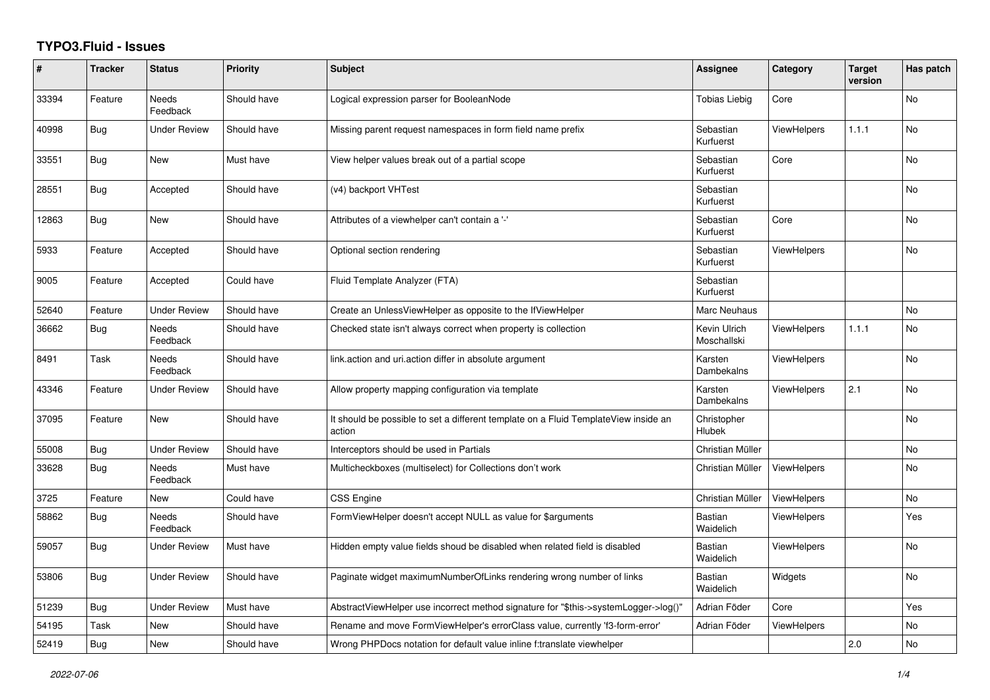## **TYPO3.Fluid - Issues**

| #     | <b>Tracker</b> | <b>Status</b>            | <b>Priority</b> | <b>Subject</b>                                                                                | Assignee                     | Category           | <b>Target</b><br>version | Has patch      |
|-------|----------------|--------------------------|-----------------|-----------------------------------------------------------------------------------------------|------------------------------|--------------------|--------------------------|----------------|
| 33394 | Feature        | <b>Needs</b><br>Feedback | Should have     | Logical expression parser for BooleanNode                                                     | <b>Tobias Liebig</b>         | Core               |                          | <b>No</b>      |
| 40998 | Bug            | <b>Under Review</b>      | Should have     | Missing parent request namespaces in form field name prefix                                   | Sebastian<br>Kurfuerst       | <b>ViewHelpers</b> | 1.1.1                    | N <sub>o</sub> |
| 33551 | Bug            | New                      | Must have       | View helper values break out of a partial scope                                               | Sebastian<br>Kurfuerst       | Core               |                          | No             |
| 28551 | Bug            | Accepted                 | Should have     | (v4) backport VHTest                                                                          | Sebastian<br>Kurfuerst       |                    |                          | No             |
| 12863 | Bug            | <b>New</b>               | Should have     | Attributes of a viewhelper can't contain a '-'                                                | Sebastian<br>Kurfuerst       | Core               |                          | <b>No</b>      |
| 5933  | Feature        | Accepted                 | Should have     | Optional section rendering                                                                    | Sebastian<br>Kurfuerst       | ViewHelpers        |                          | <b>No</b>      |
| 9005  | Feature        | Accepted                 | Could have      | Fluid Template Analyzer (FTA)                                                                 | Sebastian<br>Kurfuerst       |                    |                          |                |
| 52640 | Feature        | <b>Under Review</b>      | Should have     | Create an UnlessViewHelper as opposite to the IfViewHelper                                    | Marc Neuhaus                 |                    |                          | No             |
| 36662 | Bug            | <b>Needs</b><br>Feedback | Should have     | Checked state isn't always correct when property is collection                                | Kevin Ulrich<br>Moschallski  | <b>ViewHelpers</b> | 1.1.1                    | <b>No</b>      |
| 8491  | Task           | Needs<br>Feedback        | Should have     | link.action and uri.action differ in absolute argument                                        | Karsten<br>Dambekalns        | <b>ViewHelpers</b> |                          | No             |
| 43346 | Feature        | <b>Under Review</b>      | Should have     | Allow property mapping configuration via template                                             | Karsten<br>Dambekalns        | <b>ViewHelpers</b> | 2.1                      | No             |
| 37095 | Feature        | <b>New</b>               | Should have     | It should be possible to set a different template on a Fluid TemplateView inside an<br>action | Christopher<br><b>Hlubek</b> |                    |                          | <b>No</b>      |
| 55008 | Bug            | <b>Under Review</b>      | Should have     | Interceptors should be used in Partials                                                       | Christian Müller             |                    |                          | <b>No</b>      |
| 33628 | <b>Bug</b>     | Needs<br>Feedback        | Must have       | Multicheckboxes (multiselect) for Collections don't work                                      | Christian Müller             | <b>ViewHelpers</b> |                          | No             |
| 3725  | Feature        | New                      | Could have      | CSS Engine                                                                                    | Christian Müller             | ViewHelpers        |                          | No             |
| 58862 | <b>Bug</b>     | <b>Needs</b><br>Feedback | Should have     | FormViewHelper doesn't accept NULL as value for \$arguments                                   | Bastian<br>Waidelich         | <b>ViewHelpers</b> |                          | Yes            |
| 59057 | Bug            | Under Review             | Must have       | Hidden empty value fields shoud be disabled when related field is disabled                    | Bastian<br>Waidelich         | <b>ViewHelpers</b> |                          | <b>No</b>      |
| 53806 | Bug            | Under Review             | Should have     | Paginate widget maximumNumberOfLinks rendering wrong number of links                          | Bastian<br>Waidelich         | Widgets            |                          | No             |
| 51239 | Bug            | <b>Under Review</b>      | Must have       | AbstractViewHelper use incorrect method signature for "\$this->systemLogger->log()"           | Adrian Föder                 | Core               |                          | Yes            |
| 54195 | Task           | New                      | Should have     | Rename and move FormViewHelper's errorClass value, currently 'f3-form-error'                  | Adrian Föder                 | ViewHelpers        |                          | No             |
| 52419 | Bug            | New                      | Should have     | Wrong PHPDocs notation for default value inline f:translate viewhelper                        |                              |                    | 2.0                      | No             |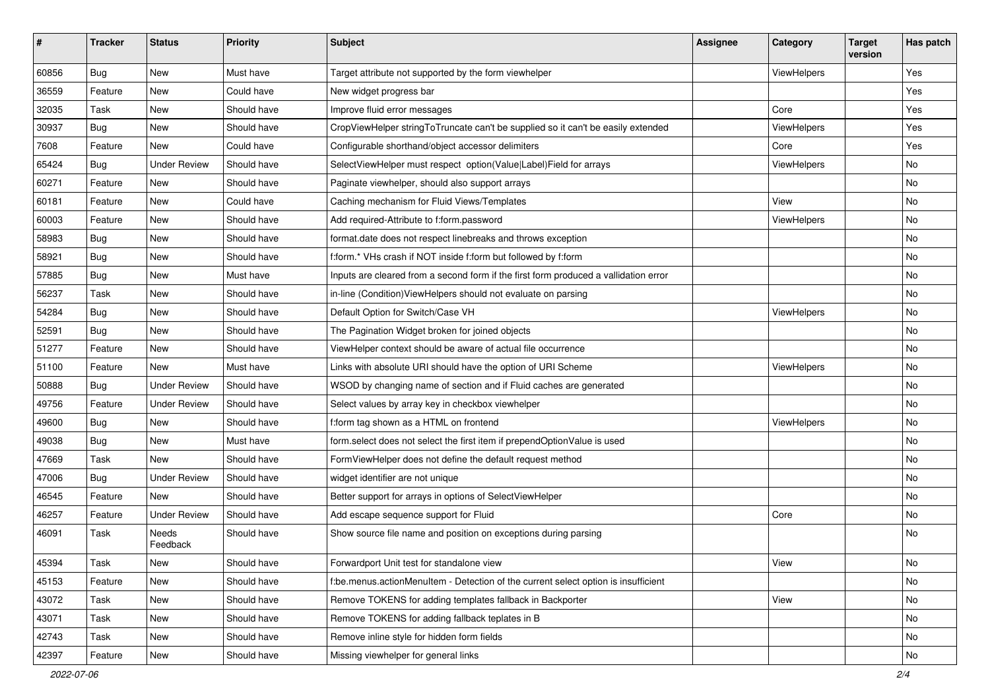| $\pmb{\#}$ | <b>Tracker</b> | <b>Status</b>       | <b>Priority</b> | <b>Subject</b>                                                                       | Assignee | <b>Category</b> | <b>Target</b><br>version | Has patch |
|------------|----------------|---------------------|-----------------|--------------------------------------------------------------------------------------|----------|-----------------|--------------------------|-----------|
| 60856      | <b>Bug</b>     | New                 | Must have       | Target attribute not supported by the form viewhelper                                |          | ViewHelpers     |                          | Yes       |
| 36559      | Feature        | New                 | Could have      | New widget progress bar                                                              |          |                 |                          | Yes       |
| 32035      | Task           | New                 | Should have     | Improve fluid error messages                                                         |          | Core            |                          | Yes       |
| 30937      | Bug            | New                 | Should have     | CropViewHelper stringToTruncate can't be supplied so it can't be easily extended     |          | ViewHelpers     |                          | Yes       |
| 7608       | Feature        | New                 | Could have      | Configurable shorthand/object accessor delimiters                                    |          | Core            |                          | Yes       |
| 65424      | <b>Bug</b>     | <b>Under Review</b> | Should have     | SelectViewHelper must respect option(Value Label)Field for arrays                    |          | ViewHelpers     |                          | No        |
| 60271      | Feature        | New                 | Should have     | Paginate viewhelper, should also support arrays                                      |          |                 |                          | No        |
| 60181      | Feature        | New                 | Could have      | Caching mechanism for Fluid Views/Templates                                          |          | View            |                          | No        |
| 60003      | Feature        | <b>New</b>          | Should have     | Add required-Attribute to f:form.password                                            |          | ViewHelpers     |                          | No        |
| 58983      | Bug            | New                 | Should have     | format.date does not respect linebreaks and throws exception                         |          |                 |                          | No        |
| 58921      | Bug            | <b>New</b>          | Should have     | f:form.* VHs crash if NOT inside f:form but followed by f:form                       |          |                 |                          | No        |
| 57885      | <b>Bug</b>     | New                 | Must have       | Inputs are cleared from a second form if the first form produced a vallidation error |          |                 |                          | No        |
| 56237      | Task           | New                 | Should have     | in-line (Condition) ViewHelpers should not evaluate on parsing                       |          |                 |                          | No        |
| 54284      | Bug            | <b>New</b>          | Should have     | Default Option for Switch/Case VH                                                    |          | ViewHelpers     |                          | No        |
| 52591      | Bug            | New                 | Should have     | The Pagination Widget broken for joined objects                                      |          |                 |                          | No        |
| 51277      | Feature        | New                 | Should have     | ViewHelper context should be aware of actual file occurrence                         |          |                 |                          | No        |
| 51100      | Feature        | <b>New</b>          | Must have       | Links with absolute URI should have the option of URI Scheme                         |          | ViewHelpers     |                          | No        |
| 50888      | Bug            | <b>Under Review</b> | Should have     | WSOD by changing name of section and if Fluid caches are generated                   |          |                 |                          | No        |
| 49756      | Feature        | <b>Under Review</b> | Should have     | Select values by array key in checkbox viewhelper                                    |          |                 |                          | No        |
| 49600      | Bug            | New                 | Should have     | f:form tag shown as a HTML on frontend                                               |          | ViewHelpers     |                          | No        |
| 49038      | Bug            | New                 | Must have       | form.select does not select the first item if prependOptionValue is used             |          |                 |                          | No        |
| 47669      | Task           | <b>New</b>          | Should have     | FormViewHelper does not define the default request method                            |          |                 |                          | No        |
| 47006      | Bug            | <b>Under Review</b> | Should have     | widget identifier are not unique                                                     |          |                 |                          | No        |
| 46545      | Feature        | New                 | Should have     | Better support for arrays in options of SelectViewHelper                             |          |                 |                          | No        |
| 46257      | Feature        | <b>Under Review</b> | Should have     | Add escape sequence support for Fluid                                                |          | Core            |                          | No        |
| 46091      | Task           | Needs<br>Feedback   | Should have     | Show source file name and position on exceptions during parsing                      |          |                 |                          | <b>No</b> |
| 45394      | Task           | New                 | Should have     | Forwardport Unit test for standalone view                                            |          | View            |                          | No        |
| 45153      | Feature        | New                 | Should have     | f:be.menus.actionMenuItem - Detection of the current select option is insufficient   |          |                 |                          | No        |
| 43072      | Task           | New                 | Should have     | Remove TOKENS for adding templates fallback in Backporter                            |          | View            |                          | No        |
| 43071      | Task           | New                 | Should have     | Remove TOKENS for adding fallback teplates in B                                      |          |                 |                          | No        |
| 42743      | Task           | New                 | Should have     | Remove inline style for hidden form fields                                           |          |                 |                          | No        |
| 42397      | Feature        | New                 | Should have     | Missing viewhelper for general links                                                 |          |                 |                          | No        |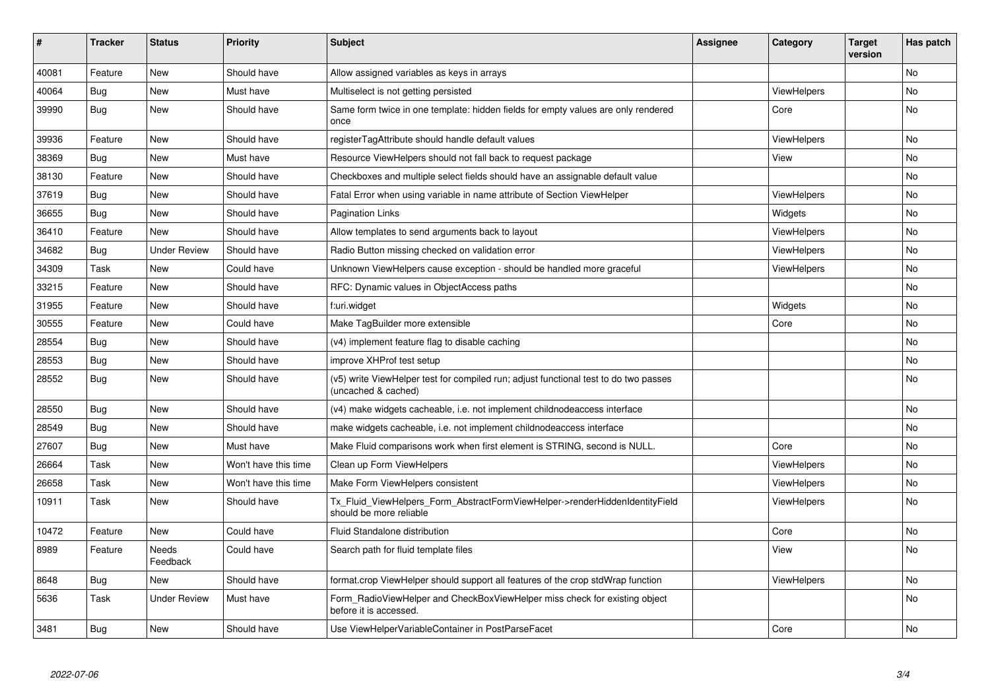| ∦     | <b>Tracker</b> | <b>Status</b>       | <b>Priority</b>      | <b>Subject</b>                                                                                              | <b>Assignee</b> | Category           | <b>Target</b><br>version | Has patch |
|-------|----------------|---------------------|----------------------|-------------------------------------------------------------------------------------------------------------|-----------------|--------------------|--------------------------|-----------|
| 40081 | Feature        | <b>New</b>          | Should have          | Allow assigned variables as keys in arrays                                                                  |                 |                    |                          | No.       |
| 40064 | Bug            | New                 | Must have            | Multiselect is not getting persisted                                                                        |                 | ViewHelpers        |                          | No        |
| 39990 | <b>Bug</b>     | New                 | Should have          | Same form twice in one template: hidden fields for empty values are only rendered<br>once                   |                 | Core               |                          | No        |
| 39936 | Feature        | <b>New</b>          | Should have          | registerTagAttribute should handle default values                                                           |                 | ViewHelpers        |                          | No        |
| 38369 | Bug            | New                 | Must have            | Resource ViewHelpers should not fall back to request package                                                |                 | View               |                          | No.       |
| 38130 | Feature        | New                 | Should have          | Checkboxes and multiple select fields should have an assignable default value                               |                 |                    |                          | No        |
| 37619 | Bug            | New                 | Should have          | Fatal Error when using variable in name attribute of Section ViewHelper                                     |                 | <b>ViewHelpers</b> |                          | No        |
| 36655 | Bug            | <b>New</b>          | Should have          | <b>Pagination Links</b>                                                                                     |                 | Widgets            |                          | No.       |
| 36410 | Feature        | <b>New</b>          | Should have          | Allow templates to send arguments back to layout                                                            |                 | <b>ViewHelpers</b> |                          | No        |
| 34682 | Bug            | <b>Under Review</b> | Should have          | Radio Button missing checked on validation error                                                            |                 | <b>ViewHelpers</b> |                          | No        |
| 34309 | Task           | <b>New</b>          | Could have           | Unknown ViewHelpers cause exception - should be handled more graceful                                       |                 | <b>ViewHelpers</b> |                          | No        |
| 33215 | Feature        | <b>New</b>          | Should have          | RFC: Dynamic values in ObjectAccess paths                                                                   |                 |                    |                          | No        |
| 31955 | Feature        | <b>New</b>          | Should have          | f:uri.widget                                                                                                |                 | Widgets            |                          | No        |
| 30555 | Feature        | New                 | Could have           | Make TagBuilder more extensible                                                                             |                 | Core               |                          | No        |
| 28554 | Bug            | New                 | Should have          | (v4) implement feature flag to disable caching                                                              |                 |                    |                          | No        |
| 28553 | <b>Bug</b>     | New                 | Should have          | improve XHProf test setup                                                                                   |                 |                    |                          | No.       |
| 28552 | Bug            | New                 | Should have          | (v5) write ViewHelper test for compiled run; adjust functional test to do two passes<br>(uncached & cached) |                 |                    |                          | No        |
| 28550 | Bug            | New                 | Should have          | (v4) make widgets cacheable, i.e. not implement childnodeaccess interface                                   |                 |                    |                          | No        |
| 28549 | <b>Bug</b>     | New                 | Should have          | make widgets cacheable, i.e. not implement childnodeaccess interface                                        |                 |                    |                          | No        |
| 27607 | <b>Bug</b>     | <b>New</b>          | Must have            | Make Fluid comparisons work when first element is STRING, second is NULL.                                   |                 | Core               |                          | No        |
| 26664 | Task           | <b>New</b>          | Won't have this time | Clean up Form ViewHelpers                                                                                   |                 | ViewHelpers        |                          | No        |
| 26658 | Task           | <b>New</b>          | Won't have this time | Make Form ViewHelpers consistent                                                                            |                 | <b>ViewHelpers</b> |                          | No        |
| 10911 | Task           | <b>New</b>          | Should have          | Tx_Fluid_ViewHelpers_Form_AbstractFormViewHelper->renderHiddenIdentityField<br>should be more reliable      |                 | ViewHelpers        |                          | <b>No</b> |
| 10472 | Feature        | <b>New</b>          | Could have           | Fluid Standalone distribution                                                                               |                 | Core               |                          | No        |
| 8989  | Feature        | Needs<br>Feedback   | Could have           | Search path for fluid template files                                                                        |                 | View               |                          | No        |
| 8648  | <b>Bug</b>     | <b>New</b>          | Should have          | format.crop ViewHelper should support all features of the crop stdWrap function                             |                 | ViewHelpers        |                          | No        |
| 5636  | Task           | <b>Under Review</b> | Must have            | Form RadioViewHelper and CheckBoxViewHelper miss check for existing object<br>before it is accessed.        |                 |                    |                          | No        |
| 3481  | <b>Bug</b>     | <b>New</b>          | Should have          | Use ViewHelperVariableContainer in PostParseFacet                                                           |                 | Core               |                          | No        |